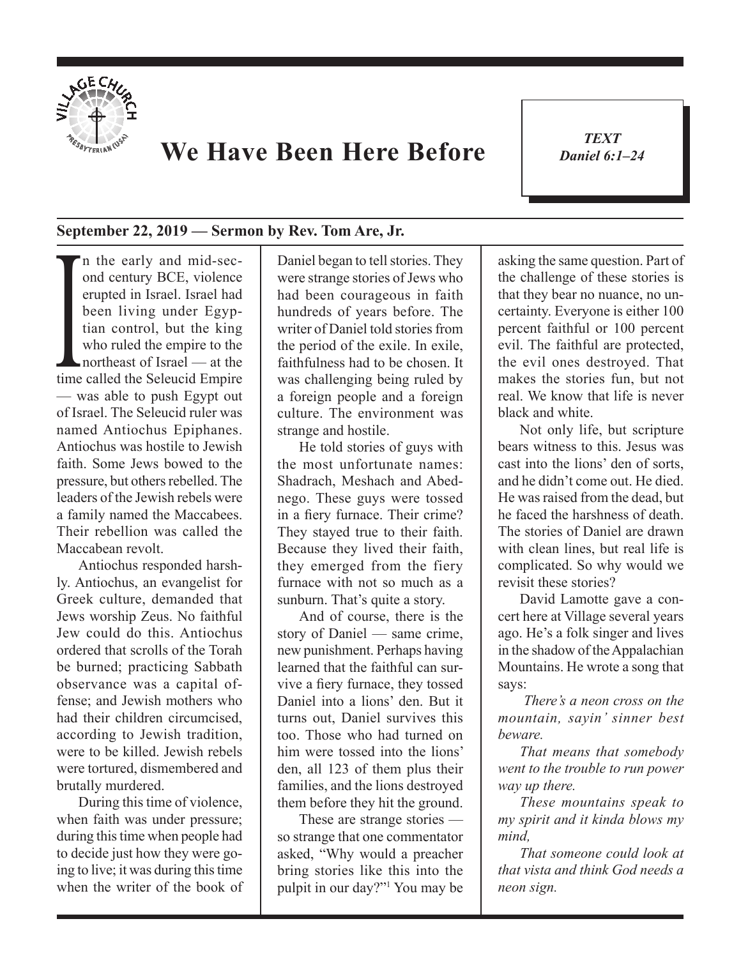

## **We Have Been Here Before**

*TEXT Daniel 6:1–24* 1

## **September 22, 2019 — Sermon by Rev. Tom Are, Jr.**

been living under Egyptian control, but the king<br>who ruled the empire to the<br>northeast of Israel — at the<br>time called the Seleucid Empire n the early and mid-second century BCE, violence erupted in Israel. Israel had been living under Egyptian control, but the king who ruled the empire to the northeast of Israel — at the — was able to push Egypt out of Israel. The Seleucid ruler was named Antiochus Epiphanes. Antiochus was hostile to Jewish faith. Some Jews bowed to the pressure, but others rebelled. The leaders of the Jewish rebels were a family named the Maccabees. Their rebellion was called the Maccabean revolt.

Antiochus responded harshly. Antiochus, an evangelist for Greek culture, demanded that Jews worship Zeus. No faithful Jew could do this. Antiochus ordered that scrolls of the Torah be burned; practicing Sabbath observance was a capital offense; and Jewish mothers who had their children circumcised, according to Jewish tradition, were to be killed. Jewish rebels were tortured, dismembered and brutally murdered.

During this time of violence, when faith was under pressure; during this time when people had to decide just how they were going to live; it was during this time when the writer of the book of Daniel began to tell stories. They were strange stories of Jews who had been courageous in faith hundreds of years before. The writer of Daniel told stories from the period of the exile. In exile, faithfulness had to be chosen. It was challenging being ruled by a foreign people and a foreign culture. The environment was strange and hostile.

He told stories of guys with the most unfortunate names: Shadrach, Meshach and Abednego. These guys were tossed in a fiery furnace. Their crime? They stayed true to their faith. Because they lived their faith, they emerged from the fiery furnace with not so much as a sunburn. That's quite a story.

And of course, there is the story of Daniel — same crime, new punishment. Perhaps having learned that the faithful can survive a fiery furnace, they tossed Daniel into a lions' den. But it turns out, Daniel survives this too. Those who had turned on him were tossed into the lions' den, all 123 of them plus their families, and the lions destroyed them before they hit the ground.

These are strange stories so strange that one commentator asked, "Why would a preacher bring stories like this into the pulpit in our day?"<sup>1</sup> You may be asking the same question. Part of the challenge of these stories is that they bear no nuance, no uncertainty. Everyone is either 100 percent faithful or 100 percent evil. The faithful are protected, the evil ones destroyed. That makes the stories fun, but not real. We know that life is never black and white.

Not only life, but scripture bears witness to this. Jesus was cast into the lions' den of sorts and he didn't come out. He died. He was raised from the dead, but he faced the harshness of death. The stories of Daniel are drawn with clean lines, but real life is complicated. So why would we revisit these stories?

David Lamotte gave a concert here at Village several years ago. He's a folk singer and lives in the shadow of the Appalachian Mountains. He wrote a song that says:

*There's a neon cross on the mountain, sayin' sinner best beware.*

*That means that somebody went to the trouble to run power way up there.*

*These mountains speak to my spirit and it kinda blows my mind,* 

*That someone could look at that vista and think God needs a neon sign.*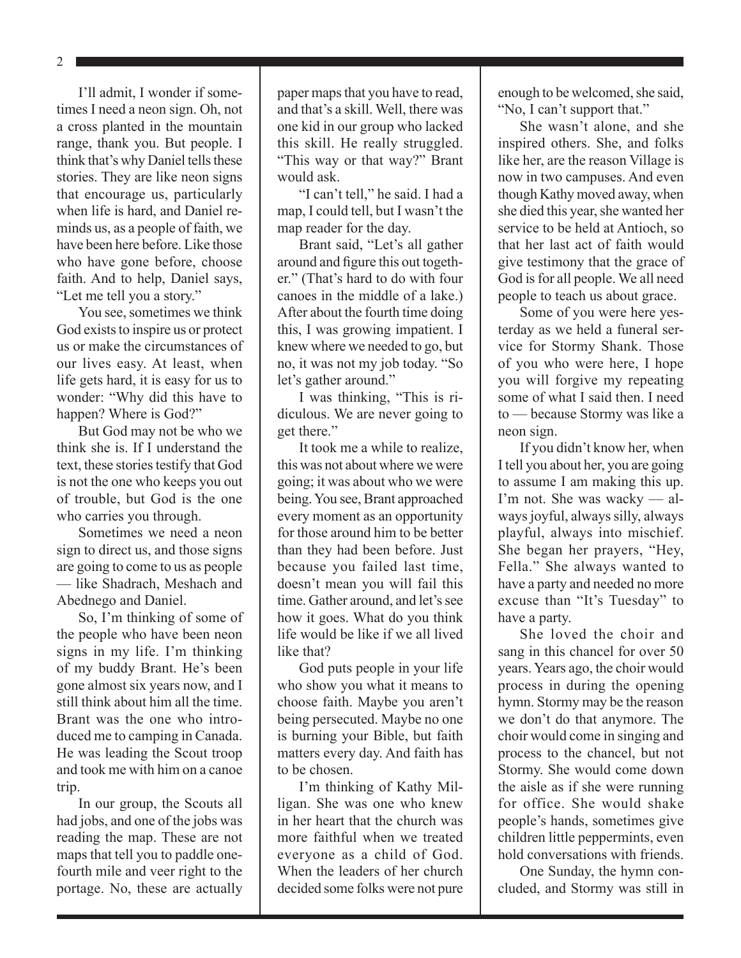2

I'll admit, I wonder if sometimes I need a neon sign. Oh, not a cross planted in the mountain range, thank you. But people. I think that's why Daniel tells these stories. They are like neon signs that encourage us, particularly when life is hard, and Daniel reminds us, as a people of faith, we have been here before. Like those who have gone before, choose faith. And to help, Daniel says, "Let me tell you a story."

You see, sometimes we think God exists to inspire us or protect us or make the circumstances of our lives easy. At least, when life gets hard, it is easy for us to wonder: "Why did this have to happen? Where is God?"

But God may not be who we think she is. If I understand the text, these stories testify that God is not the one who keeps you out of trouble, but God is the one who carries you through.

Sometimes we need a neon sign to direct us, and those signs are going to come to us as people — like Shadrach, Meshach and Abednego and Daniel.

So, I'm thinking of some of the people who have been neon signs in my life. I'm thinking of my buddy Brant. He's been gone almost six years now, and I still think about him all the time. Brant was the one who introduced me to camping in Canada. He was leading the Scout troop and took me with him on a canoe trip.

In our group, the Scouts all had jobs, and one of the jobs was reading the map. These are not maps that tell you to paddle onefourth mile and veer right to the portage. No, these are actually paper maps that you have to read, and that's a skill. Well, there was one kid in our group who lacked this skill. He really struggled. "This way or that way?" Brant would ask.

"I can't tell," he said. I had a map, I could tell, but I wasn't the map reader for the day.

Brant said, "Let's all gather around and figure this out together." (That's hard to do with four canoes in the middle of a lake.) After about the fourth time doing this, I was growing impatient. I knew where we needed to go, but no, it was not my job today. "So let's gather around."

I was thinking, "This is ridiculous. We are never going to get there."

It took me a while to realize, this was not about where we were going; it was about who we were being. You see, Brant approached every moment as an opportunity for those around him to be better than they had been before. Just because you failed last time, doesn't mean you will fail this time. Gather around, and let's see how it goes. What do you think life would be like if we all lived like that?

God puts people in your life who show you what it means to choose faith. Maybe you aren't being persecuted. Maybe no one is burning your Bible, but faith matters every day. And faith has to be chosen.

I'm thinking of Kathy Milligan. She was one who knew in her heart that the church was more faithful when we treated everyone as a child of God. When the leaders of her church decided some folks were not pure enough to be welcomed, she said, "No, I can't support that."

She wasn't alone, and she inspired others. She, and folks like her, are the reason Village is now in two campuses. And even though Kathy moved away, when she died this year, she wanted her service to be held at Antioch, so that her last act of faith would give testimony that the grace of God is for all people. We all need people to teach us about grace.

Some of you were here yesterday as we held a funeral service for Stormy Shank. Those of you who were here, I hope you will forgive my repeating some of what I said then. I need to — because Stormy was like a neon sign.

If you didn't know her, when I tell you about her, you are going to assume I am making this up. I'm not. She was wacky — always joyful, always silly, always playful, always into mischief. She began her prayers, "Hey, Fella." She always wanted to have a party and needed no more excuse than "It's Tuesday" to have a party.

She loved the choir and sang in this chancel for over 50 years. Years ago, the choir would process in during the opening hymn. Stormy may be the reason we don't do that anymore. The choir would come in singing and process to the chancel, but not Stormy. She would come down the aisle as if she were running for office. She would shake people's hands, sometimes give children little peppermints, even hold conversations with friends.

One Sunday, the hymn concluded, and Stormy was still in